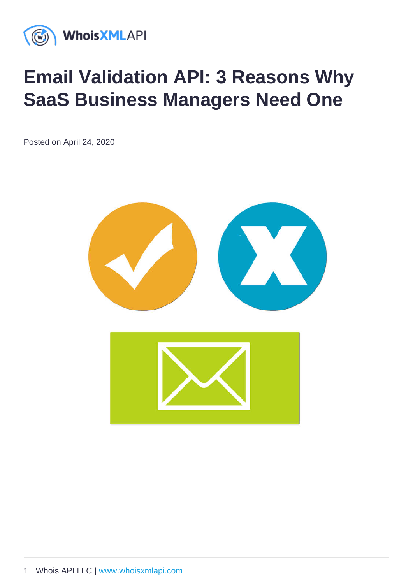# Email Validation API: 3 Reasons Why SaaS Business Managers Need One

Posted on April 24, 2020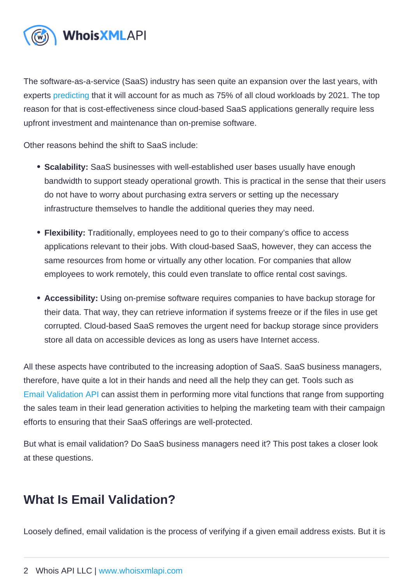The software-as-a-service (SaaS) industry has seen quite an expansion over the last years, with experts [predicting](https://www.cisco.com/c/en/us/solutions/collateral/service-provider/global-cloud-index-gci/white-paper-c11-738085.html) that it will account for as much as 75% of all cloud workloads by 2021. The top reason for that is cost-effectiveness since cloud-based SaaS applications generally require less upfront investment and maintenance than on-premise software.

Other reasons behind the shift to SaaS include:

- Scalability: SaaS businesses with well-established user bases usually have enough bandwidth to support steady operational growth. This is practical in the sense that their users do not have to worry about purchasing extra servers or setting up the necessary infrastructure themselves to handle the additional queries they may need.
- Flexibility: Traditionally, employees need to go to their company's office to access applications relevant to their jobs. With cloud-based SaaS, however, they can access the same resources from home or virtually any other location. For companies that allow employees to work remotely, this could even translate to office rental cost savings.
- Accessibility: Using on-premise software requires companies to have backup storage for their data. That way, they can retrieve information if systems freeze or if the files in use get corrupted. Cloud-based SaaS removes the urgent need for backup storage since providers store all data on accessible devices as long as users have Internet access.

All these aspects have contributed to the increasing adoption of SaaS. SaaS business managers, therefore, have quite a lot in their hands and need all the help they can get. Tools such as [Email Validation API](https://emailverification.whoisxmlapi.com/api) can assist them in performing more vital functions that range from supporting the sales team in their lead generation activities to helping the marketing team with their campaign efforts to ensuring that their SaaS offerings are well-protected.

But what is email validation? Do SaaS business managers need it? This post takes a closer look at these questions.

## What Is Email Validation ?

Loosely defined, email validation is the process of verifying if a given email address exists. But it is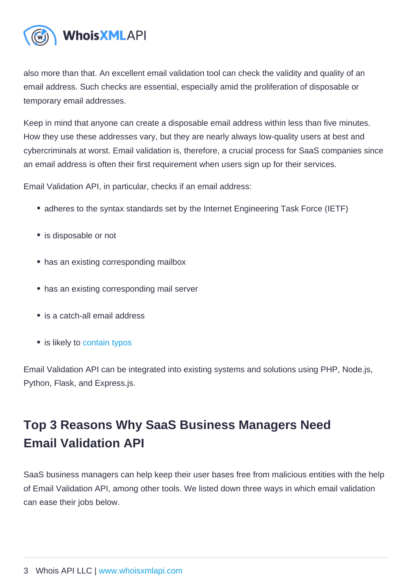also more than that. An excellent email validation tool can check the validity and quality of an email address. Such checks are essential, especially amid the proliferation of disposable or temporary email addresses.

Keep in mind that anyone can create a disposable email address within less than five minutes. How they use these addresses vary, but they are nearly always low-quality users at best and cybercriminals at worst. Email validation is, therefore, a crucial process for SaaS companies since an email address is often their first requirement when users sign up for their services.

Email Validation API, in particular, checks if an email address:

- adheres to the syntax standards set by the Internet Engineering Task Force (IETF)
- is disposable or not
- has an existing corresponding mailbox
- has an existing corresponding mail server
- is a catch-all email address
- is likely to [contain typos](https://emailverification.whoisxmlapi.com/blog/how-to-validate-an-email-address-for-typos-syntax-curse-words-and-other-rules)

Email Validation API can be integrated into existing systems and solutions using PHP, Node.js, Python, Flask, and Express.js.

## Top 3 Reasons Why SaaS Business Managers Need Email Validation API

SaaS business managers can help keep their user bases free from malicious entities with the help of Email Validation API, among other tools. We listed down three ways in which email validation can ease their jobs below.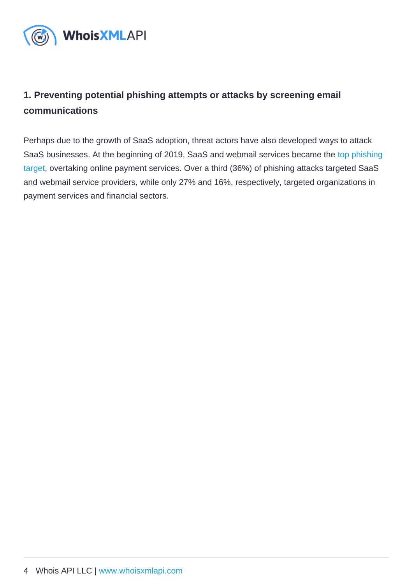### 1. Preventing potential phishing attempts or attacks by screening email communications

Perhaps due to the growth of SaaS adoption, threat actors have also developed ways to attack SaaS businesses. At the beginning of 2019, SaaS and webmail services became the [top phishing](https://docs.apwg.org/reports/apwg_trends_report_q1_2019.pdf)  [target,](https://docs.apwg.org/reports/apwg_trends_report_q1_2019.pdf) overtaking online payment services. Over a third (36%) of phishing attacks targeted SaaS and webmail service providers, while only 27% and 16%, respectively, targeted organizations in payment services and financial sectors.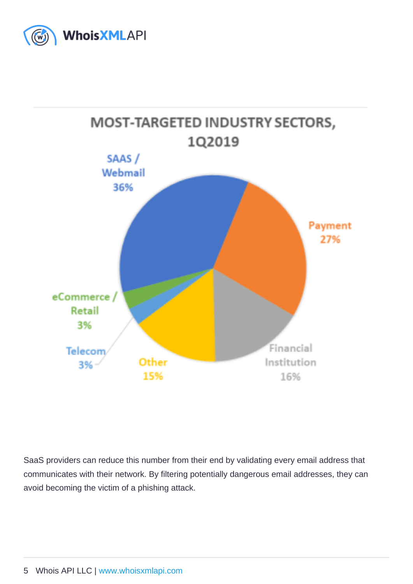SaaS providers can reduce this number from their end by validating every email address that communicates with their network. By filtering potentially dangerous email addresses, they can avoid becoming the victim of a phishing attack.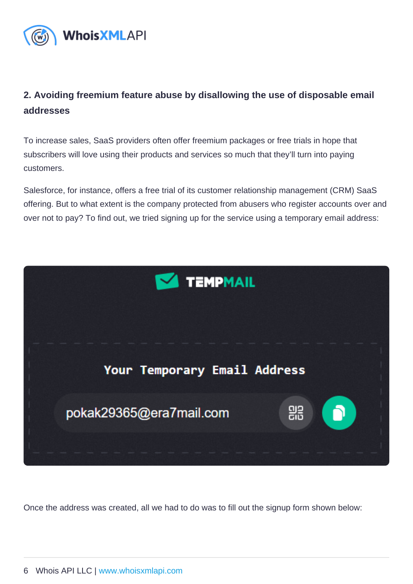#### 2. Avoiding freemium feature abuse by disallowing the use of disposable email addresses

To increase sales, SaaS providers often offer freemium packages or free trials in hope that subscribers will love using their products and services so much that they'll turn into paying customers.

Salesforce, for instance, offers a free trial of its customer relationship management (CRM) SaaS offering. But to what extent is the company protected from abusers who register accounts over and over not to pay? To find out, we tried signing up for the service using a temporary email address:

Once the address was created, all we had to do was to fill out the signup form shown below: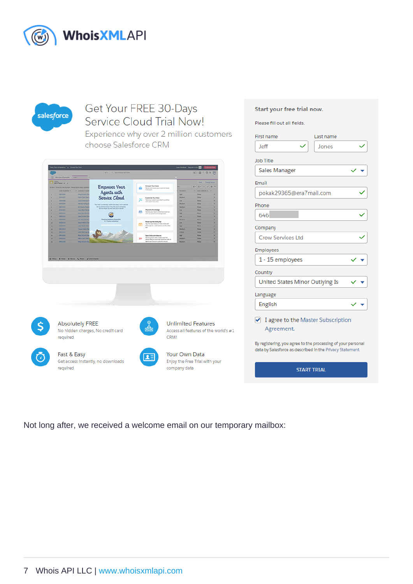Not long after, we received a welcome email on our temporary mailbox: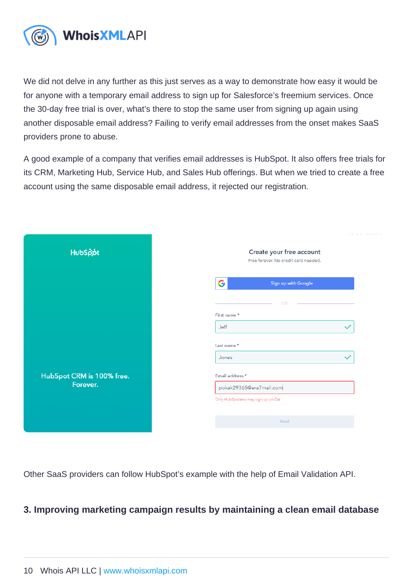We did not delve in any further as this just serves as a way to demonstrate how easy it would be for anyone with a temporary email address to sign up for Salesforce's freemium services. Once the 30-day free trial is over, what's there to stop the same user from signing up again using another disposable email address? Failing to verify email addresses from the onset makes SaaS providers prone to abuse.

A good example of a company that verifies email addresses is HubSpot. It also offers free trials for its CRM, Marketing Hub, Service Hub, and Sales Hub offerings. But when we tried to create a free account using the same disposable email address, it rejected our registration.

Other SaaS providers can follow HubSpot's example with the help of Email Validation API.

3. Improving marketing campaign results by maintaining a clean email database